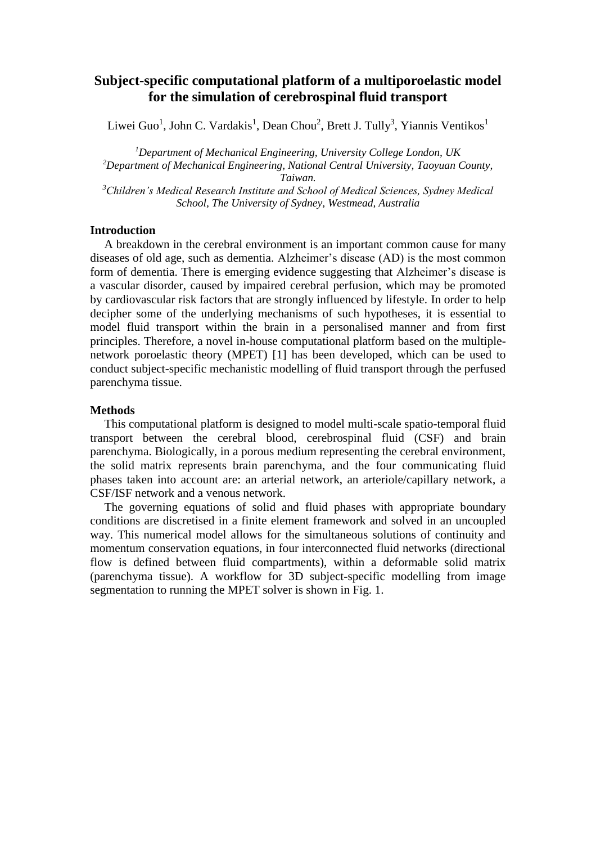# **Subject-specific computational platform of a multiporoelastic model for the simulation of cerebrospinal fluid transport**

Liwei Guo<sup>1</sup>, John C. Vardakis<sup>1</sup>, Dean Chou<sup>2</sup>, Brett J. Tully<sup>3</sup>, Yiannis Ventikos<sup>1</sup>

*<sup>1</sup>Department of Mechanical Engineering, University College London, UK <sup>2</sup>Department of Mechanical Engineering, National Central University, Taoyuan County, Taiwan. <sup>3</sup>Children's Medical Research Institute and School of Medical Sciences, Sydney Medical School, The University of Sydney, Westmead, Australia*

### **Introduction**

A breakdown in the cerebral environment is an important common cause for many diseases of old age, such as dementia. Alzheimer's disease (AD) is the most common form of dementia. There is emerging evidence suggesting that Alzheimer's disease is a vascular disorder, caused by impaired cerebral perfusion, which may be promoted by cardiovascular risk factors that are strongly influenced by lifestyle. In order to help decipher some of the underlying mechanisms of such hypotheses, it is essential to model fluid transport within the brain in a personalised manner and from first principles. Therefore, a novel in-house computational platform based on the multiplenetwork poroelastic theory (MPET) [1] has been developed, which can be used to conduct subject-specific mechanistic modelling of fluid transport through the perfused parenchyma tissue.

## **Methods**

This computational platform is designed to model multi-scale spatio-temporal fluid transport between the cerebral blood, cerebrospinal fluid (CSF) and brain parenchyma. Biologically, in a porous medium representing the cerebral environment, the solid matrix represents brain parenchyma, and the four communicating fluid phases taken into account are: an arterial network, an arteriole/capillary network, a CSF/ISF network and a venous network.

The governing equations of solid and fluid phases with appropriate boundary conditions are discretised in a finite element framework and solved in an uncoupled way. This numerical model allows for the simultaneous solutions of continuity and momentum conservation equations, in four interconnected fluid networks (directional flow is defined between fluid compartments), within a deformable solid matrix (parenchyma tissue). A workflow for 3D subject-specific modelling from image segmentation to running the MPET solver is shown in Fig. 1.